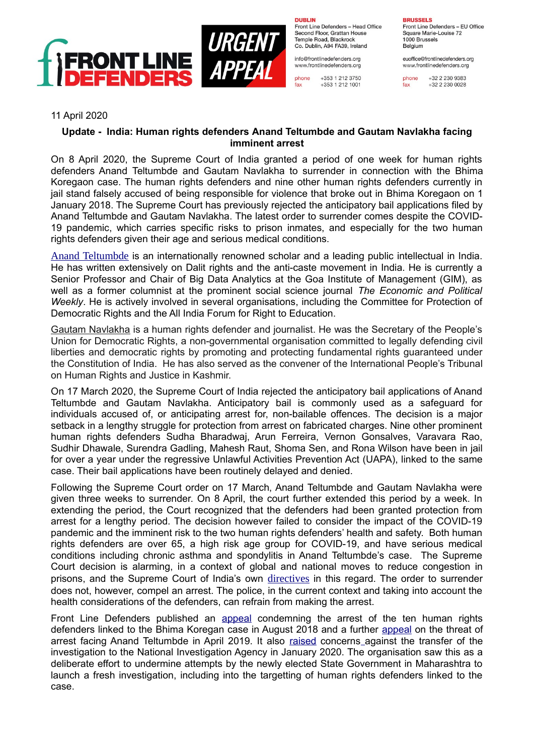

**DUBLIN** Front Line Defenders - Head Office Second Floor, Grattan House Temple Boad, Blackrock

Co. Dublin, A94 FA39, Ireland info@frontlinedefenders.org www.frontlinedefenders.org

phone +353 1 212 3750 fax +353 1 212 1001 **BRUSSELS** Front Line Defenders - EU Office

Square Marie-Louise 72 1000 Brussels Belgium

euoffice@frontlinedefenders.org www.frontlinedefenders.org

phone +32 2 230 9383  $+3222300028$ fax

## 11 April 2020

## **Update - India: Human rights defenders Anand Teltumbde and Gautam Navlakha facing imminent arrest**

On 8 April 2020, the Supreme Court of India granted a period of one week for human rights defenders Anand Teltumbde and Gautam Navlakha to surrender in connection with the Bhima Koregaon case. The human rights defenders and nine other human rights defenders currently in jail stand falsely accused of being responsible for violence that broke out in Bhima Koregaon on 1 January 2018. The Supreme Court has previously rejected the anticipatory bail applications filed by Anand Teltumbde and Gautam Navlakha. The latest order to surrender comes despite the COVID-19 pandemic, which carries specific risks to prison inmates, and especially for the two human rights defenders given their age and serious medical conditions.

[Anand Teltumbde](https://www.frontlinedefenders.org/en/case/human-rights-defender-anand-teltumbde-facing-imminent-arrest) is an internationally renowned scholar and a leading public intellectual in India. He has written extensively on Dalit rights and the anti-caste movement in India. He is currently a Senior Professor and Chair of Big Data Analytics at the Goa Institute of Management (GIM), as well as a former columnist at the prominent social science journal *The Economic and Political Weekly*. He is actively involved in several organisations, including the Committee for Protection of Democratic Rights and the All India Forum for Right to Education.

[Gautam Navlakha](https://www.frontlinedefenders.org/en/case/arrest-gautam-navlakha) is a human rights defender and journalist. He was the Secretary of the People's Union for Democratic Rights, a non-governmental organisation committed to legally defending civil liberties and democratic rights by promoting and protecting fundamental rights guaranteed under the Constitution of India. He has also served as the convener of the International People's Tribunal on Human Rights and Justice in Kashmir.

On 17 March 2020, the Supreme Court of India rejected the anticipatory bail applications of Anand Teltumbde and Gautam Navlakha. Anticipatory bail is commonly used as a safeguard for individuals accused of, or anticipating arrest for, non-bailable offences. The decision is a major setback in a lengthy struggle for protection from arrest on fabricated charges. Nine other prominent human rights defenders Sudha Bharadwaj, Arun Ferreira, Vernon Gonsalves, Varavara Rao, Sudhir Dhawale, Surendra Gadling, Mahesh Raut, Shoma Sen, and Rona Wilson have been in jail for over a year under the regressive Unlawful Activities Prevention Act (UAPA), linked to the same case. Their bail applications have been routinely delayed and denied.

Following the Supreme Court order on 17 March, Anand Teltumbde and Gautam Navlakha were given three weeks to surrender. On 8 April, the court further extended this period by a week. In extending the period, the Court recognized that the defenders had been granted protection from arrest for a lengthy period. The decision however failed to consider the impact of the COVID-19 pandemic and the imminent risk to the two human rights defenders' health and safety. Both human rights defenders are over 65, a high risk age group for COVID-19, and have serious medical conditions including chronic asthma and spondylitis in Anand Teltumbde's case. The Supreme Court decision is alarming, in a context of global and national moves to reduce congestion in prisons, and the Supreme Court of India's own [directives](https://www.barandbench.com/news/litigation/coronavirus-supreme-court-takes-up-issue-of-overcrowding-in-prisons-issues-show-cause-notice-for-suggestions-for-prevention-from-states?fbclid=IwAR2pni_0K1qo89rNT60EWfFeo-RcG1vuR0IMipHfHZ0dVpxIY1gXyrLRlgo) in this regard. The order to surrender does not, however, compel an arrest. The police, in the current context and taking into account the health considerations of the defenders, can refrain from making the arrest.

Front Line Defenders published an [appeal](https://www.frontlinedefenders.org/sites/default/files/urgent_appeal_india_-_five_human_rights_defenders_arrested_and_charged_in_coordinated_raids_across_india.pdf) condemning the arrest of the ten human rights defenders linked to the Bhima Koregan case in August 2018 and a further [appeal](https://www.frontlinedefenders.org/en/case/human-rights-defender-anand-teltumbde-facing-imminent-arrest) on the threat of arrest facing Anand Teltumbde in April 2019. It also [raised](https://www.frontlinedefenders.org/en/case/arrest-sudha-bhardwaj) concerns against the transfer of the investigation to the National Investigation Agency in January 2020. The organisation saw this as a deliberate effort to undermine attempts by the newly elected State Government in Maharashtra to launch a fresh investigation, including into the targetting of human rights defenders linked to the case.